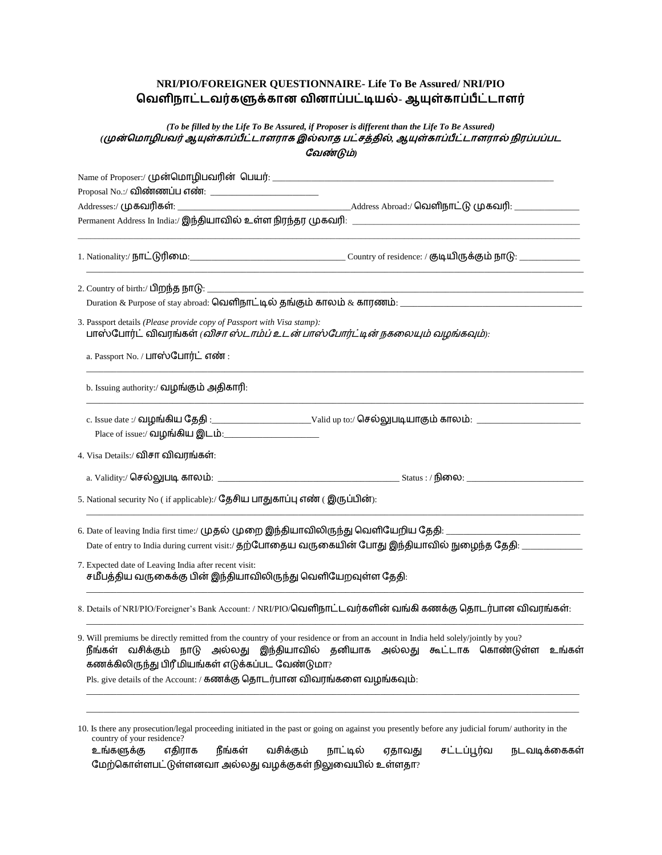# **NRI/PIO/FOREIGNER QUESTIONNAIRE- Life To Be Assured/ NRI/PIO -**

## *(To be filled by the Life To Be Assured, if Proposer is different than the Life To Be Assured)* (முன்மொழிபவர் ஆயுள்காப்பீட்டாளராக இல்லாத பட்சத்தில், ஆயுள்காப்பீட்டாளரால் நிரப்பப்பட *)*

| the control of the control of the control of the control of the control of the control of                                                                                             |                                                                                                                                                   |  |  |  |  |  |
|---------------------------------------------------------------------------------------------------------------------------------------------------------------------------------------|---------------------------------------------------------------------------------------------------------------------------------------------------|--|--|--|--|--|
|                                                                                                                                                                                       |                                                                                                                                                   |  |  |  |  |  |
|                                                                                                                                                                                       |                                                                                                                                                   |  |  |  |  |  |
| 3. Passport details (Please provide copy of Passport with Visa stamp):<br>பாஸ்போர்ட் விவரங்கள் ( <i>விசா ஸ்டாம்ப் உடன் பாஸ்போர்ட்டின் நகலையும் வழங்கவும்):</i>                        |                                                                                                                                                   |  |  |  |  |  |
| a. Passport No. / பாஸ்போர்ட் எண்:                                                                                                                                                     |                                                                                                                                                   |  |  |  |  |  |
| b. Issuing authority:/ வழங்கும் அதிகாரி:                                                                                                                                              |                                                                                                                                                   |  |  |  |  |  |
|                                                                                                                                                                                       |                                                                                                                                                   |  |  |  |  |  |
|                                                                                                                                                                                       |                                                                                                                                                   |  |  |  |  |  |
| 4. Visa Details:/ விசா விவரங்கள்:                                                                                                                                                     |                                                                                                                                                   |  |  |  |  |  |
|                                                                                                                                                                                       |                                                                                                                                                   |  |  |  |  |  |
| 5. National security No (if applicable):/ தேசிய பாதுகாப்பு எண் (இருப்பின்):                                                                                                           |                                                                                                                                                   |  |  |  |  |  |
|                                                                                                                                                                                       | 6. Date of leaving India first time:/ முதல் முறை இந்தியாவிலிருந்து வெளியேறிய தேதி: ___________________________                                    |  |  |  |  |  |
|                                                                                                                                                                                       | Date of entry to India during current visit:/ தற்போதைய வருகையின் போது இந்தியாவில் நுழைந்த தேதி: ______________                                    |  |  |  |  |  |
| 7. Expected date of Leaving India after recent visit:<br>சமீபத்திய வருகைக்கு பின் இந்தியாவிலிருந்து வெளியேறவுள்ள தேதி:                                                                |                                                                                                                                                   |  |  |  |  |  |
|                                                                                                                                                                                       | 8. Details of NRI/PIO/Foreigner's Bank Account: / NRI/PIO/வெளிநாட்டவர்களின் வங்கி கணக்கு தொடர்பான விவரங்கள்:                                      |  |  |  |  |  |
| 9. Will premiums be directly remitted from the country of your residence or from an account in India held solely/jointly by you?<br>கணக்கிலிருந்து பிரீ மியங்கள் எடுக்கப்பட வேண்டுமா? | நீங்கள் வசிக்கும் நாடு அல்லது இந்தியாவில் தனியாக அல்லது கூட்டாக கொண்டுள்ள உங்கள்                                                                  |  |  |  |  |  |
| Pls. give details of the Account: / கணக்கு தொடர்பான விவரங்களை வழங்கவும்:                                                                                                              |                                                                                                                                                   |  |  |  |  |  |
| country of your residence?                                                                                                                                                            | 10. Is there any prosecution/legal proceeding initiated in the past or going on against you presently before any judicial forum/ authority in the |  |  |  |  |  |

உங்களுக்கு எதிராக நீங்கள் வசிக்கும் நாட்டில் ஏதாவது சட்டப்பூர்வ நடவடிக்கைகள் மேற்கொள்ளபட்டுள்ளனவா அல்லது வழக்குகள் நிலுவையில் உள்ளதா $?$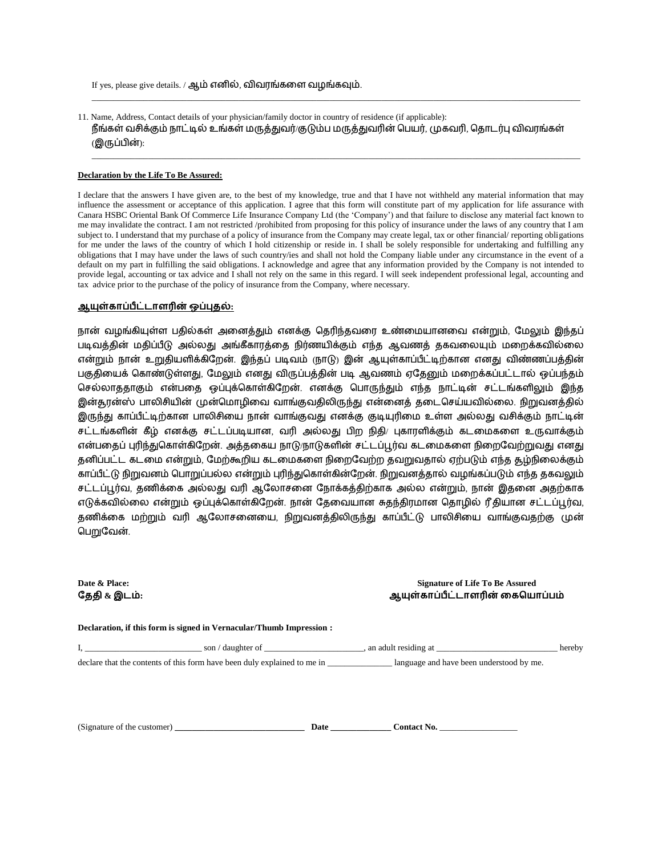If yes, please give details. / ஆம் எனில், விவரங்களை வழங்கவும்.

11. Name, Address, Contact details of your physician/family doctor in country of residence (if applicable): நீங்கள் வசிக்கும் நாட்டில் உங்கள் மருத்துவர்/குடும்ப மருத்துவரின் பெயர், முகவரி, தொடர்பு விவரங்கள் (இருப்பின்):

\_\_\_\_\_\_\_\_\_\_\_\_\_\_\_\_\_\_\_\_\_\_\_\_\_\_\_\_\_\_\_\_\_\_\_\_\_\_\_\_\_\_\_\_\_\_\_\_\_\_\_\_\_\_\_\_\_\_\_\_\_\_\_\_\_\_\_\_\_\_\_\_\_\_\_\_\_\_\_\_\_\_\_\_\_\_\_\_\_\_\_\_\_\_\_\_\_\_\_\_\_\_\_\_\_\_\_\_\_\_\_\_\_

\_\_\_\_\_\_\_\_\_\_\_\_\_\_\_\_\_\_\_\_\_\_\_\_\_\_\_\_\_\_\_\_\_\_\_\_\_\_\_\_\_\_\_\_\_\_\_\_\_\_\_\_\_\_\_\_\_\_\_\_\_\_\_\_\_\_\_\_\_\_\_\_\_\_\_\_\_\_\_\_\_\_\_\_\_\_\_\_\_\_\_\_\_\_\_\_\_\_\_\_\_\_\_\_\_\_\_\_\_\_\_\_\_

#### **Declaration by the Life To Be Assured:**

I declare that the answers I have given are, to the best of my knowledge, true and that I have not withheld any material information that may influence the assessment or acceptance of this application. I agree that this form will constitute part of my application for life assurance with Canara HSBC Oriental Bank Of Commerce Life Insurance Company Ltd (the 'Company') and that failure to disclose any material fact known to me may invalidate the contract. I am not restricted /prohibited from proposing for this policy of insurance under the laws of any country that I am subject to. I understand that my purchase of a policy of insurance from the Company may create legal, tax or other financial/ reporting obligations for me under the laws of the country of which I hold citizenship or reside in. I shall be solely responsible for undertaking and fulfilling any obligations that I may have under the laws of such country/ies and shall not hold the Company liable under any circumstance in the event of a default on my part in fulfilling the said obligations. I acknowledge and agree that any information provided by the Company is not intended to provide legal, accounting or tax advice and I shall not rely on the same in this regard. I will seek independent professional legal, accounting and tax advice prior to the purchase of the policy of insurance from the Company, where necessary.

#### <u> ஆயுள்காப்பீட்டாளரின் ஒப்புதல்:</u>

நான் வழங்கியுள்ள பதில்கள் அனைத்தும் எனக்கு தெரிந்தவரை உண்மையானவை என்றும், மேலும் இந்தப் படிவத்தின் மதிப்பீடு அல்லது அங்கீகாரத்தை நிர்ணயிக்கும் எந்த ஆவணத் தகவலையும் மறைக்கவில்லை என்றும் நான் உறுதியளிக்கிறேன். இந்தப் படிவம் (நாடு) இன் ஆயுள்காப்பீட்டிற்கான எனது விண்ணப்பத்தின் பகுதியைக் கொண்டுள்ளது, மேலும் எனது விருப்பத்தின் படி ஆவணம் ஏதேனும் மறைக்கப்பட்டால் ஒப்பந்தம் செல்லாததாகும் என்பதை ஒப்புக்கொள்கிறேன். எனக்கு பொருந்தும் எந்த நாட்டின் சட்டங்களிலும் இந்த இன்தூன்ஸ் பாலிசியின் முன்மொழிவை வாங்குவதிலிருந்து என்னைத் தடைசெய்யவில்லை. நிறுவனத்தில் இருந்து காப்பீட்டிற்கான பாலிசியை நான் வாங்குவது எனக்கு குடியுரிமை உள்ள அல்லது வசிக்கும் நாட்டின் சட்டங்களின் கீழ் எனக்கு சட்டப்படியான, வரி அல்லது பிற நிதி/ புகாரளிக்கும் கடமைகளை உருவாக்கும் என்பதைப் புரிந்துகொள்கிறேன். அத்தகைய நாடு நாடுகளின் சட்டப்பூர்வ கடமைகளை நிறைவேற்றுவது எனது தனிப்பட்ட கடமை என்றும், மேற்கூறிய கடமைகளை நிறைவேற்ற தவறுவதால் ஏற்படும் எந்த சூழ்நிலைக்கும் காப்பீட்டு நிறுவனம் பொறுப்பல்ல என்றும் புரிந்துகொள்கின்றேன். நிறுவனத்தால் வழங்கப்படும் எந்த தகவலும் சட்டப்பூர்வ, தணிக்கை அல்லது வரி ஆலோசனை நோக்கத்திற்காக அல்ல என்றும், நான் இதனை அதற்காக எடுக்கவில்லை என்றும் ஒப்புக்கொள்கிறேன். நான் தேவையான சுதந்திரமான தொழில் ரீதியான சட்டப்பூர்வ, தணிக்கை மற்றும் வரி ஆலோசனையை, நிறுவனத்திலிருந்து காப்பீட்டு பாலிசியை வாங்குவதற்கு முன் பெறுவேன்.

**தேதி & இடம்:** 

### **Date & Place:** Signature of Life To Be Assured ஆயுள்காப்பீட்டாளரின் கையொப்பம்

**Declaration, if this form is signed in Vernacular/Thumb Impression :** I, \_\_\_\_\_\_\_\_\_\_\_\_\_\_\_\_\_\_\_\_\_\_\_\_\_\_\_ son / daughter of \_\_\_\_\_\_\_\_\_\_\_\_\_\_\_\_\_\_\_\_\_\_\_, an adult residing at \_\_\_\_\_\_\_\_\_\_\_\_\_\_\_\_\_\_\_\_\_\_\_\_\_\_\_\_ hereby

declare that the contents of this form have been duly explained to me in \_\_\_\_\_\_\_\_\_\_\_\_\_\_\_ language and have been understood by me.

(Signature of the customer) **Date Date Contact No.**  $\blacksquare$